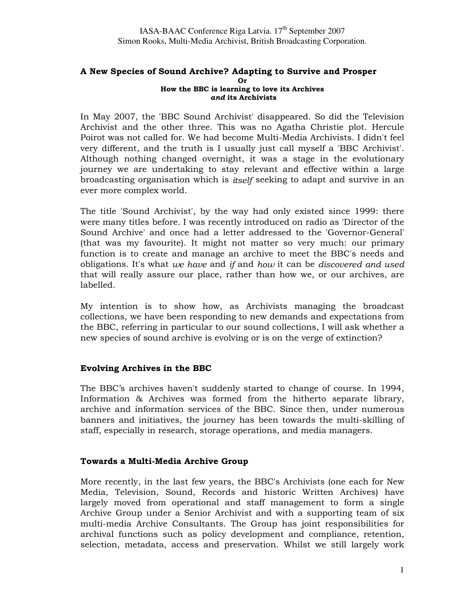#### A New Species of Sound Archive? Adapting to Survive and Prosper Or How the BBC is learning to love its Archives and its Archivists

In May 2007, the 'BBC Sound Archivist' disappeared. So did the Television Archivist and the other three. This was no Agatha Christie plot. Hercule Poirot was not called for. We had become Multi-Media Archivists. I didn't feel very different, and the truth is I usually just call myself a 'BBC Archivist'. Although nothing changed overnight, it was a stage in the evolutionary journey we are undertaking to stay relevant and effective within a large broadcasting organisation which is itself seeking to adapt and survive in an ever more complex world.

The title 'Sound Archivist', by the way had only existed since 1999: there were many titles before. I was recently introduced on radio as 'Director of the Sound Archive' and once had a letter addressed to the 'Governor-General' (that was my favourite). It might not matter so very much: our primary function is to create and manage an archive to meet the BBC's needs and obligations. It's what we have and if and how it can be discovered and used that will really assure our place, rather than how we, or our archives, are labelled.

My intention is to show how, as Archivists managing the broadcast collections, we have been responding to new demands and expectations from the BBC, referring in particular to our sound collections, I will ask whether a new species of sound archive is evolving or is on the verge of extinction?

### Evolving Archives in the BBC

The BBC's archives haven't suddenly started to change of course. In 1994, Information & Archives was formed from the hitherto separate library, archive and information services of the BBC. Since then, under numerous banners and initiatives, the journey has been towards the multi-skilling of staff, especially in research, storage operations, and media managers.

### Towards a Multi-Media Archive Group

More recently, in the last few years, the BBC's Archivists (one each for New Media, Television, Sound, Records and historic Written Archives) have largely moved from operational and staff management to form a single Archive Group under a Senior Archivist and with a supporting team of six multi-media Archive Consultants. The Group has joint responsibilities for archival functions such as policy development and compliance, retention, selection, metadata, access and preservation. Whilst we still largely work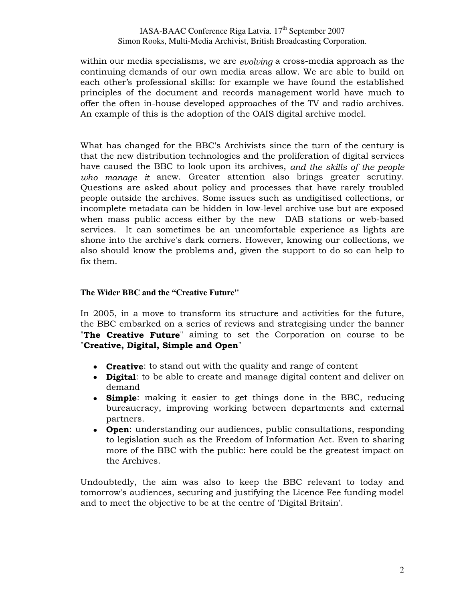within our media specialisms, we are *evolving* a cross-media approach as the continuing demands of our own media areas allow. We are able to build on each other's professional skills: for example we have found the established principles of the document and records management world have much to offer the often in-house developed approaches of the TV and radio archives. An example of this is the adoption of the OAIS digital archive model.

What has changed for the BBC's Archivists since the turn of the century is that the new distribution technologies and the proliferation of digital services have caused the BBC to look upon its archives, and the skills of the people who manage it anew. Greater attention also brings greater scrutiny. Questions are asked about policy and processes that have rarely troubled people outside the archives. Some issues such as undigitised collections, or incomplete metadata can be hidden in low-level archive use but are exposed when mass public access either by the new DAB stations or web-based services. It can sometimes be an uncomfortable experience as lights are shone into the archive's dark corners. However, knowing our collections, we also should know the problems and, given the support to do so can help to fix them.

### **The Wider BBC and the "Creative Future"**

In 2005, in a move to transform its structure and activities for the future, the BBC embarked on a series of reviews and strategising under the banner **The Creative Future**" aiming to set the Corporation on course to be "Creative, Digital, Simple and Open"

- Creative: to stand out with the quality and range of content
- Digital: to be able to create and manage digital content and deliver on demand
- **Simple:** making it easier to get things done in the BBC, reducing bureaucracy, improving working between departments and external partners.
- Open: understanding our audiences, public consultations, responding to legislation such as the Freedom of Information Act. Even to sharing more of the BBC with the public: here could be the greatest impact on the Archives.

Undoubtedly, the aim was also to keep the BBC relevant to today and tomorrow's audiences, securing and justifying the Licence Fee funding model and to meet the objective to be at the centre of 'Digital Britain'.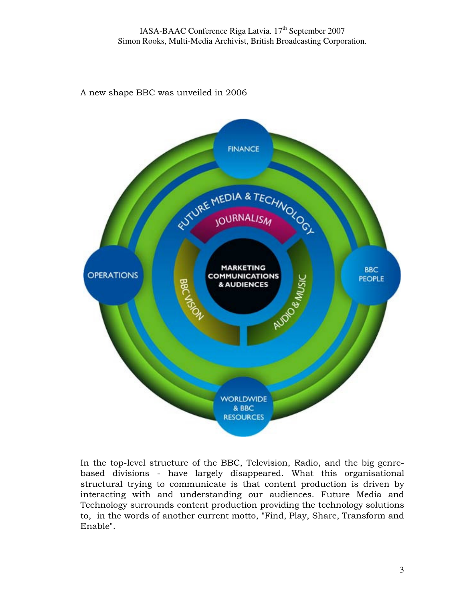A new shape BBC was unveiled in 2006



In the top-level structure of the BBC, Television, Radio, and the big genrebased divisions - have largely disappeared. What this organisational structural trying to communicate is that content production is driven by interacting with and understanding our audiences. Future Media and Technology surrounds content production providing the technology solutions to, in the words of another current motto, "Find, Play, Share, Transform and Enable".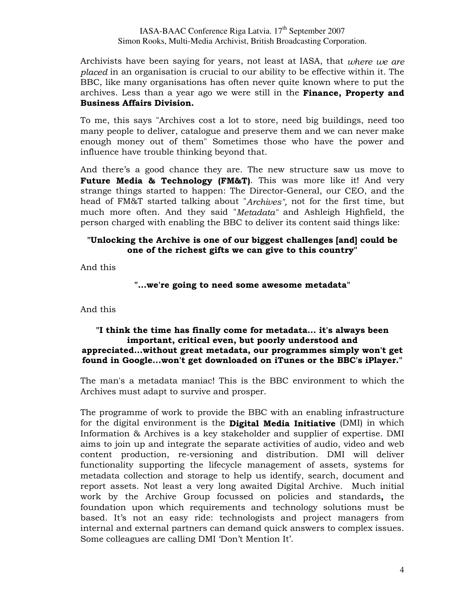Archivists have been saying for years, not least at IASA, that where we are placed in an organisation is crucial to our ability to be effective within it. The BBC, like many organisations has often never quite known where to put the archives. Less than a year ago we were still in the Finance, Property and Business Affairs Division.

To me, this says "Archives cost a lot to store, need big buildings, need too many people to deliver, catalogue and preserve them and we can never make enough money out of them" Sometimes those who have the power and influence have trouble thinking beyond that.

And there's a good chance they are. The new structure saw us move to Future Media & Technology (FM&T). This was more like it! And very strange things started to happen: The Director-General, our CEO, and the head of FM&T started talking about "Archives", not for the first time, but much more often. And they said "Metadata" and Ashleigh Highfield, the person charged with enabling the BBC to deliver its content said things like:

### "Unlocking the Archive is one of our biggest challenges [and] could be one of the richest gifts we can give to this country"

And this

### "...we're going to need some awesome metadata"

And this

### "I think the time has finally come for metadata... it's always been important, critical even, but poorly understood and appreciated...without great metadata, our programmes simply won't get found in Google...won't get downloaded on iTunes or the BBC's iPlayer."

The man's a metadata maniac! This is the BBC environment to which the Archives must adapt to survive and prosper.

The programme of work to provide the BBC with an enabling infrastructure for the digital environment is the **Digital Media Initiative** (DMI) in which Information & Archives is a key stakeholder and supplier of expertise. DMI aims to join up and integrate the separate activities of audio, video and web content production, re-versioning and distribution. DMI will deliver functionality supporting the lifecycle management of assets, systems for metadata collection and storage to help us identify, search, document and report assets. Not least a very long awaited Digital Archive. Much initial work by the Archive Group focussed on policies and standards, the foundation upon which requirements and technology solutions must be based. It's not an easy ride: technologists and project managers from internal and external partners can demand quick answers to complex issues. Some colleagues are calling DMI 'Don't Mention It'.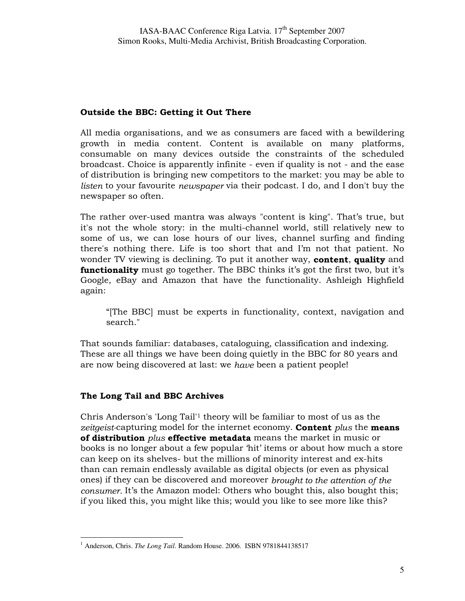## Outside the BBC: Getting it Out There

All media organisations, and we as consumers are faced with a bewildering growth in media content. Content is available on many platforms, consumable on many devices outside the constraints of the scheduled broadcast. Choice is apparently infinite - even if quality is not - and the ease of distribution is bringing new competitors to the market: you may be able to listen to your favourite newspaper via their podcast. I do, and I don't buy the newspaper so often.

The rather over-used mantra was always "content is king". That's true, but it's not the whole story: in the multi-channel world, still relatively new to some of us, we can lose hours of our lives, channel surfing and finding there's nothing there. Life is too short that and I'm not that patient. No wonder TV viewing is declining. To put it another way, **content**, quality and **functionality** must go together. The BBC thinks it's got the first two, but it's Google, eBay and Amazon that have the functionality. Ashleigh Highfield again:

"[The BBC] must be experts in functionality, context, navigation and search."

That sounds familiar: databases, cataloguing, classification and indexing. These are all things we have been doing quietly in the BBC for 80 years and are now being discovered at last: we have been a patient people!

# The Long Tail and BBC Archives

Chris Anderson's 'Long Tail'1 theory will be familiar to most of us as the zeitgeist-capturing model for the internet economy. Content plus the means of distribution plus effective metadata means the market in music or books is no longer about a few popular 'hit' items or about how much a store can keep on its shelves- but the millions of minority interest and ex-hits than can remain endlessly available as digital objects (or even as physical ones) if they can be discovered and moreover brought to the attention of the consumer. It's the Amazon model: Others who bought this, also bought this; if you liked this, you might like this; would you like to see more like this?

<sup>-</sup><sup>1</sup> Anderson, Chris. *The Long Tail*. Random House. 2006. ISBN 9781844138517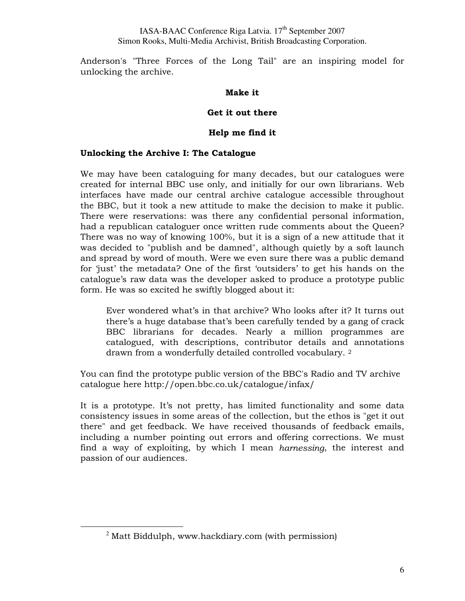Anderson's "Three Forces of the Long Tail" are an inspiring model for unlocking the archive.

### Make it

### Get it out there

### Help me find it

### Unlocking the Archive I: The Catalogue

We may have been cataloguing for many decades, but our catalogues were created for internal BBC use only, and initially for our own librarians. Web interfaces have made our central archive catalogue accessible throughout the BBC, but it took a new attitude to make the decision to make it public. There were reservations: was there any confidential personal information, had a republican cataloguer once written rude comments about the Queen? There was no way of knowing 100%, but it is a sign of a new attitude that it was decided to "publish and be damned", although quietly by a soft launch and spread by word of mouth. Were we even sure there was a public demand for 'just' the metadata? One of the first 'outsiders' to get his hands on the catalogue's raw data was the developer asked to produce a prototype public form. He was so excited he swiftly blogged about it:

Ever wondered what's in that archive? Who looks after it? It turns out there's a huge database that's been carefully tended by a gang of crack BBC librarians for decades. Nearly a million programmes are catalogued, with descriptions, contributor details and annotations drawn from a wonderfully detailed controlled vocabulary. <sup>2</sup>

You can find the prototype public version of the BBC's Radio and TV archive catalogue here http://open.bbc.co.uk/catalogue/infax/

It is a prototype. It's not pretty, has limited functionality and some data consistency issues in some areas of the collection, but the ethos is "get it out there" and get feedback. We have received thousands of feedback emails, including a number pointing out errors and offering corrections. We must find a way of exploiting, by which I mean harnessing, the interest and passion of our audiences.

-

 $2$  Matt Biddulph, www.hackdiary.com (with permission)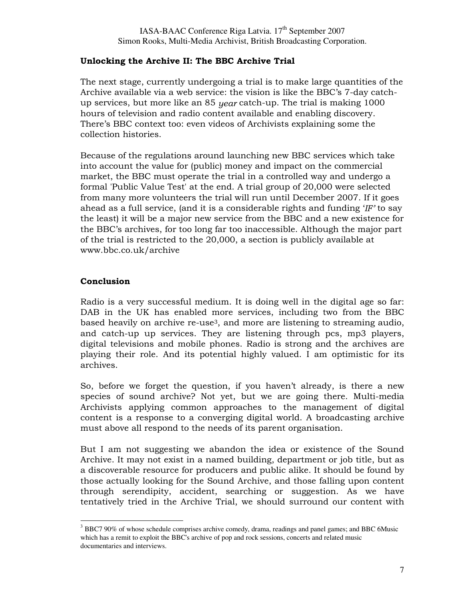# Unlocking the Archive II: The BBC Archive Trial

The next stage, currently undergoing a trial is to make large quantities of the Archive available via a web service: the vision is like the BBC's 7-day catchup services, but more like an 85 year catch-up. The trial is making 1000 hours of television and radio content available and enabling discovery. There's BBC context too: even videos of Archivists explaining some the collection histories.

Because of the regulations around launching new BBC services which take into account the value for (public) money and impact on the commercial market, the BBC must operate the trial in a controlled way and undergo a formal 'Public Value Test' at the end. A trial group of 20,000 were selected from many more volunteers the trial will run until December 2007. If it goes ahead as a full service, (and it is a considerable rights and funding  $'IF'$  to say the least) it will be a major new service from the BBC and a new existence for the BBC's archives, for too long far too inaccessible. Although the major part of the trial is restricted to the 20,000, a section is publicly available at www.bbc.co.uk/archive

# **Conclusion**

-

Radio is a very successful medium. It is doing well in the digital age so far: DAB in the UK has enabled more services, including two from the BBC based heavily on archive re-use3, and more are listening to streaming audio, and catch-up up services. They are listening through pcs, mp3 players, digital televisions and mobile phones. Radio is strong and the archives are playing their role. And its potential highly valued. I am optimistic for its archives.

So, before we forget the question, if you haven't already, is there a new species of sound archive? Not yet, but we are going there. Multi-media Archivists applying common approaches to the management of digital content is a response to a converging digital world. A broadcasting archive must above all respond to the needs of its parent organisation.

But I am not suggesting we abandon the idea or existence of the Sound Archive. It may not exist in a named building, department or job title, but as a discoverable resource for producers and public alike. It should be found by those actually looking for the Sound Archive, and those falling upon content through serendipity, accident, searching or suggestion. As we have tentatively tried in the Archive Trial, we should surround our content with

<sup>&</sup>lt;sup>3</sup> BBC7 90% of whose schedule comprises archive comedy, drama, readings and panel games; and BBC 6Music which has a remit to exploit the BBC's archive of pop and rock sessions, concerts and related music documentaries and interviews.